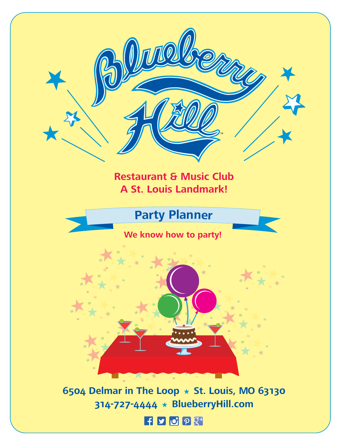### **Restaurant & Music Club A St. Louis Landmark!**

### **Party Planner**

### **We know how to party!**



**6504 Delmar in The Loop** ★ **St. Louis, MO 63130 314-727-4444** ★ **BlueberryHill.com**

### **HDOOT**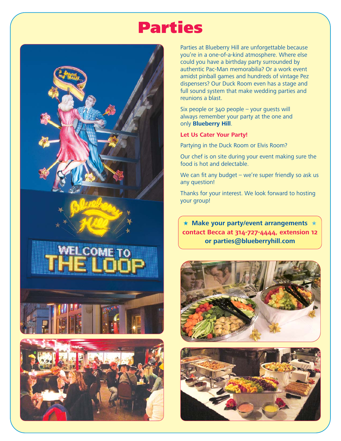## Parties







Parties at Blueberry Hill are unforgettable because you're in a one-of-a-kind atmosphere. Where else could you have a birthday party surrounded by authentic Pac-Man memorabilia? Or a work event amidst pinball games and hundreds of vintage Pez dispensers? Our Duck Room even has a stage and full sound system that make wedding parties and reunions a blast.

Six people or 340 people – your guests will always remember your party at the one and only **Blueberry Hill**.

### **Let Us Cater Your Party!**

Partying in the Duck Room or Elvis Room?

Our chef is on site during your event making sure the food is hot and delectable.

We can fit any budget – we're super friendly so ask us any question!

Thanks for your interest. We look forward to hosting your group!

★ **Make your party/event arrangements** ★ **contact Becca at 314-727-4444, extension 12 or parties@blueberryhill.com**



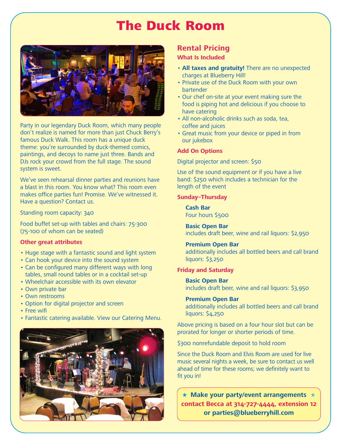### The Duck Room



Party in our legendary Duck Room, which many people don't realize is named for more than just Chuck Berry's famous Duck Walk. This room has a unique duck theme: you're surrounded by duck-themed comics, paintings, and decoys to name just three. Bands and DJs rock your crowd from the full stage. The sound system is sweet.

We've seen rehearsal dinner parties and reunions have a blast in this room. You know what? This room even makes office parties fun! Promise. We've witnessed it. Have a question? Contact us.

Standing room capacity: 340

Food buffet set-up with tables and chairs: 75-300 (75-100 of whom can be seated)

### **Other great attributes**

- Huge stage with a fantastic sound and light system
- Can hook your device into the sound system
- Can be configured many different ways with long tables, small round tables or in a cocktail set-up
- Wheelchair accessible with its own elevator
- Own private bar
- Own restrooms
- Option for digital projector and screen
- Free wifi
- Fantastic catering available. View our Catering Menu.



### **Rental Pricing**

### **What Is Included**

- **All taxes and gratuity!** There are no unexpected charges at Blueberry Hill!
- Private use of the Duck Room with your own bartender
- Our chef on-site at your event making sure the food is piping hot and delicious if you choose to have catering
- All non-alcoholic drinks such as soda, tea, coffee and juices
- Great music from your device or piped in from our jukebox

### **Add On Options**

Digital projector and screen: \$50

Use of the sound equipment or if you have a live band: \$250 which includes a technician for the length of the event

### **Sunday–Thursday**

**Cash Bar** Four hours \$500

**Basic Open Bar** includes draft beer, wine and rail liquors: \$2,950

### **Premium Open Bar**

additionally includes all bottled beers and call brand liquors: \$3,250

### **Friday and Saturday**

**Basic Open Bar** includes draft beer, wine and rail liquors: \$3,950

### **Premium Open Bar**

additionally includes all bottled beers and call brand liquors: \$4,250

Above pricing is based on a four hour slot but can be prorated for longer or shorter periods of time.

\$300 nonrefundable deposit to hold room

Since the Duck Room and Elvis Room are used for live music several nights a week, be sure to contact us well ahead of time for these rooms; we definitely want to fit you in!

★ **Make your party/event arrangements** ★ **contact Becca at 314-727-4444, extension 12 or parties@blueberryhill.com**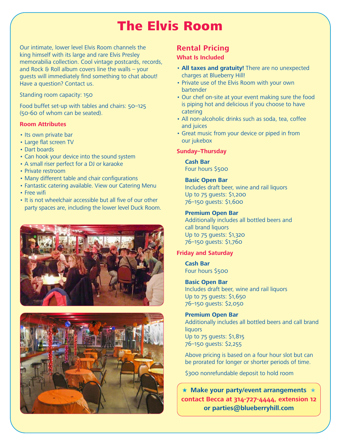## The Elvis Room

Our intimate, lower level Elvis Room channels the king himself with its large and rare Elvis Presley memorabilia collection. Cool vintage postcards, records, and Rock  $\theta$  Roll album covers line the walls – your guests will immediately find something to chat about! Have a question? Contact us.

Standing room capacity: 150

Food buffet set-up with tables and chairs: 50–125 (50-60 of whom can be seated).

### **Room Attributes**

- Its own private bar
- Large flat screen TV
- Dart boards
- Can hook your device into the sound system
- A small riser perfect for a DJ or karaoke
- Private restroom
- Many different table and chair configurations
- Fantastic catering available. View our Catering Menu
- Free wifi
- It is not wheelchair accessible but all five of our other party spaces are, including the lower level Duck Room.





### **Rental Pricing**

### **What Is Included**

- **All taxes and gratuity!** There are no unexpected charges at Blueberry Hill!
- Private use of the Elvis Room with your own bartender
- Our chef on-site at your event making sure the food is piping hot and delicious if you choose to have catering
- All non-alcoholic drinks such as soda, tea, coffee and juices
- Great music from your device or piped in from our jukebox

### **Sunday–Thursday**

**Cash Bar** Four hours \$500

### **Basic Open Bar**

Includes draft beer, wine and rail liquors Up to 75 guests: \$1,200 76–150 guests: \$1,600

### **Premium Open Bar**

Additionally includes all bottled beers and call brand liquors Up to 75 guests: \$1,320 76–150 guests: \$1,760

### **Friday and Saturday**

**Cash Bar** Four hours \$500

### **Basic Open Bar**

Includes draft beer, wine and rail liquors Up to 75 guests: \$1,650 76–150 guests: \$2,050

### **Premium Open Bar**

Additionally includes all bottled beers and call brand **liquors** Up to 75 guests: \$1,815 76–150 guests: \$2,255

Above pricing is based on a four hour slot but can be prorated for longer or shorter periods of time.

\$300 nonrefundable deposit to hold room

★ **Make your party/event arrangements** ★ **contact Becca at 314-727-4444, extension 12 or parties@blueberryhill.com**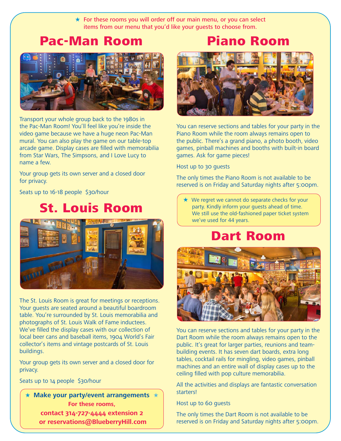$\star$  For these rooms you will order off our main menu, or you can select items from our menu that you'd like your guests to choose from.

### Pac-Man Room



Transport your whole group back to the 1980s in the Pac-Man Room! You'll feel like you're inside the video game because we have a huge neon Pac-Man mural. You can also play the game on our table-top arcade game. Display cases are filled with memorabilia from Star Wars, The Simpsons, and I Love Lucy to name a few.

Your group gets its own server and a closed door for privacy.

Seats up to 16-18 people \$30/hour

### St. Louis Room



The St. Louis Room is great for meetings or receptions. Your guests are seated around a beautiful boardroom table. You're surrounded by St. Louis memorabilia and photographs of St. Louis Walk of Fame inductees. We've filled the display cases with our collection of local beer cans and baseball items, 1904 World's Fair collector's items and vintage postcards of St. Louis buildings.

Your group gets its own server and a closed door for privacy.

Seats up to 14 people \$30/hour

★ **Make your party/event arrangements** ★ **For these rooms, contact 314-727-4444 extension 2 or reservations@BlueberryHill.com**





You can reserve sections and tables for your party in the Piano Room while the room always remains open to the public. There's a grand piano, a photo booth, video games, pinball machines and booths with built-in board games. Ask for game pieces!

Host up to 30 guests

The only times the Piano Room is not available to be reserved is on Friday and Saturday nights after 5:00pm.

★ We regret we cannot do separate checks for your party. Kindly inform your guests ahead of time. We still use the old-fashioned paper ticket system we've used for 44 years.

### Dart Room



You can reserve sections and tables for your party in the Dart Room while the room always remains open to the public. It's great for larger parties, reunions and teambuilding events. It has seven dart boards, extra long tables, cocktail rails for mingling, video games, pinball machines and an entire wall of display cases up to the ceiling filled with pop culture memorabilia.

All the activities and displays are fantastic conversation starters!

Host up to 60 guests

The only times the Dart Room is not available to be reserved is on Friday and Saturday nights after 5:00pm.